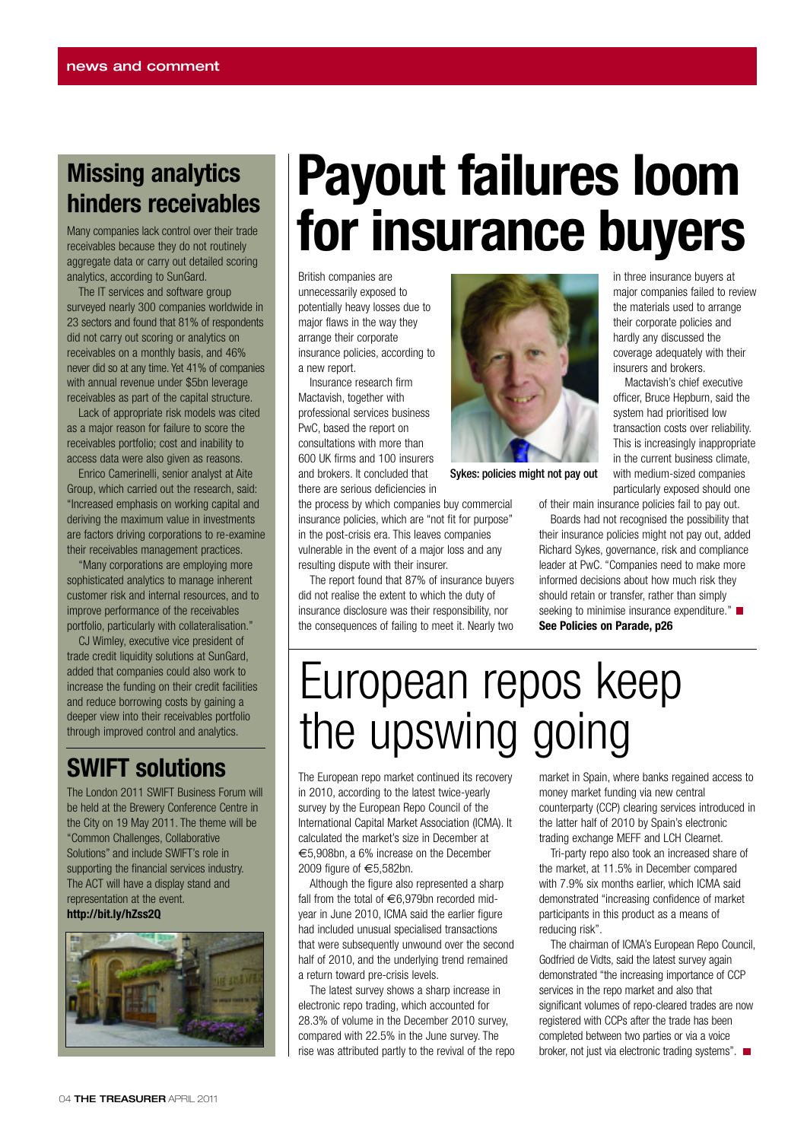#### **Missing analytics hinders receivables**

Many companies lack control over their trade receivables because they do not routinely aggregate data or carry out detailed scoring analytics, according to SunGard.

The IT services and software group surveyed nearly 300 companies worldwide in 23 sectors and found that 81% of respondents did not carry out scoring or analytics on receivables on a monthly basis, and 46% never did so at any time. Yet 41% of companies with annual revenue under \$5bn leverage receivables as part of the capital structure.

Lack of appropriate risk models was cited as a major reason for failure to score the receivables portfolio; cost and inability to access data were also given as reasons.

Enrico Camerinelli, senior analyst at Aite Group, which carried out the research, said: "Increased emphasis on working capital and deriving the maximum value in investments are factors driving corporations to re-examine their receivables management practices.

"Many corporations are employing more sophisticated analytics to manage inherent customer risk and internal resources, and to improve performance of the receivables portfolio, particularly with collateralisation."

CJ Wimley, executive vice president of trade credit liquidity solutions at SunGard, added that companies could also work to increase the funding on their credit facilities and reduce borrowing costs by gaining a deeper view into their receivables portfolio through improved control and analytics.

#### **SWIFT solutions**

The London 2011 SWIFT Business Forum will be held at the Brewery Conference Centre in the City on 19 May 2011. The theme will be "Common Challenges, Collaborative Solutions" and include SWIFT's role in supporting the financial services industry. The ACT will have a display stand and representation at the event. **<http://bit.ly/hZss2Q>**



## **Payout failures loom for insurance buyers**

British companies are unnecessarily exposed to potentially heavy losses due to major flaws in the way they arrange their corporate insurance policies, according to a new report.

Insurance research firm Mactavish, together with professional services business PwC, based the report on consultations with more than 600 UK firms and 100 insurers and brokers. It concluded that there are serious deficiencies in

resulting dispute with their insurer.

the process by which companies buy commercial insurance policies, which are "not fit for purpose" in the post-crisis era. This leaves companies vulnerable in the event of a major loss and any

The report found that 87% of insurance buyers did not realise the extent to which the duty of insurance disclosure was their responsibility, nor the consequences of failing to meet it. Nearly two



Sykes: policies might not pay out

in three insurance buyers at major companies failed to review the materials used to arrange their corporate policies and hardly any discussed the coverage adequately with their insurers and brokers.

Mactavish's chief executive officer, Bruce Hepburn, said the system had prioritised low transaction costs over reliability. This is increasingly inappropriate in the current business climate, with medium-sized companies particularly exposed should one

of their main insurance policies fail to pay out. Boards had not recognised the possibility that their insurance policies might not pay out, added Richard Sykes, governance, risk and compliance leader at PwC. "Companies need to make more informed decisions about how much risk they should retain or transfer, rather than simply seeking to minimise insurance expenditure."

**See Policies on Parade, p26**

### European repos keep the upswing going

The European repo market continued its recovery in 2010, according to the latest twice-yearly survey by the European Repo Council of the International Capital Market Association (ICMA). It calculated the market's size in December at €5,908bn, a 6% increase on the December 2009 figure of €5,582bn.

Although the figure also represented a sharp fall from the total of €6,979bn recorded midyear in June 2010, ICMA said the earlier figure had included unusual specialised transactions that were subsequently unwound over the second half of 2010, and the underlying trend remained a return toward pre-crisis levels.

The latest survey shows a sharp increase in electronic repo trading, which accounted for 28.3% of volume in the December 2010 survey, compared with 22.5% in the June survey. The rise was attributed partly to the revival of the repo market in Spain, where banks regained access to money market funding via new central counterparty (CCP) clearing services introduced in the latter half of 2010 by Spain's electronic trading exchange MEFF and LCH Clearnet.

Tri-party repo also took an increased share of the market, at 11.5% in December compared with 7.9% six months earlier, which ICMA said demonstrated "increasing confidence of market participants in this product as a means of reducing risk".

The chairman of ICMA's European Repo Council, Godfried de Vidts, said the latest survey again demonstrated "the increasing importance of CCP services in the repo market and also that significant volumes of repo-cleared trades are now registered with CCPs after the trade has been completed between two parties or via a voice broker, not just via electronic trading systems".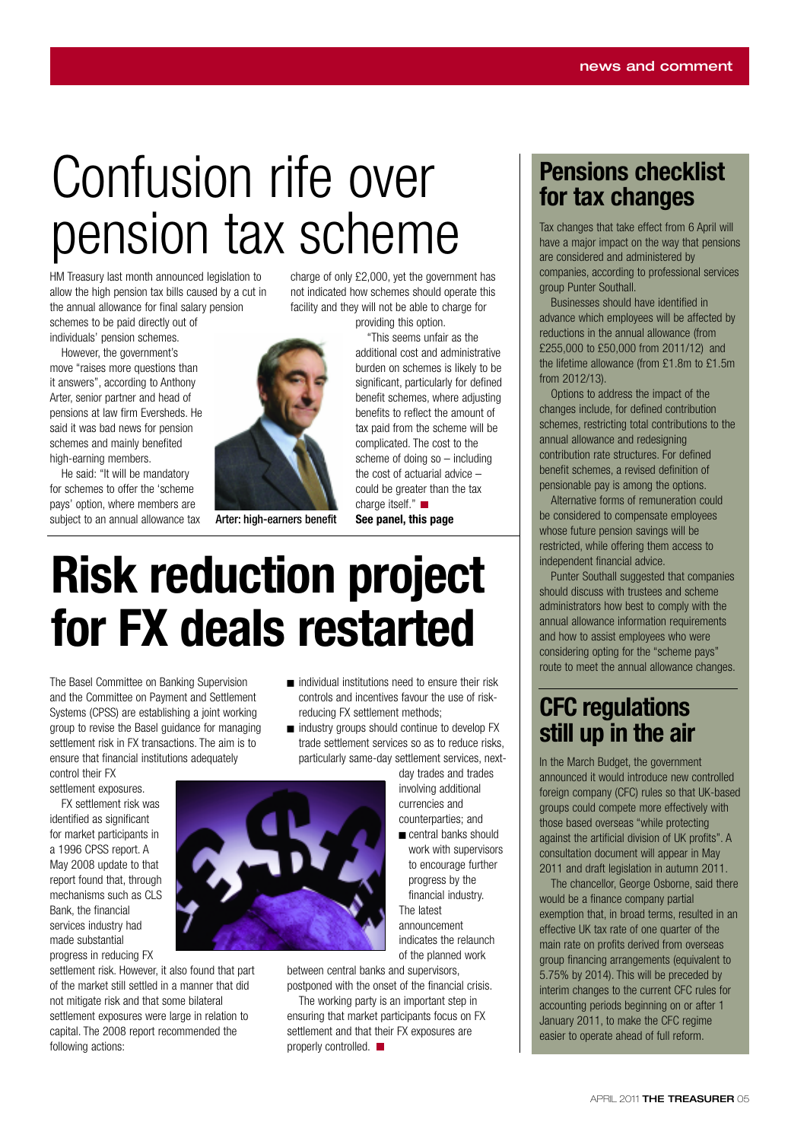# Confusion rife over pension tax scheme

HM Treasury last month announced legislation to allow the high pension tax bills caused by a cut in the annual allowance for final salary pension schemes to be paid directly out of

individuals' pension schemes.

However, the government's move "raises more questions than it answers", according to Anthony Arter, senior partner and head of pensions at law firm Eversheds. He said it was bad news for pension schemes and mainly benefited high-earning members.

He said: "It will be mandatory for schemes to offer the 'scheme pays' option, where members are subject to an annual allowance tax



charge of only £2,000, yet the government has not indicated how schemes should operate this facility and they will not be able to charge for providing this option.

"This seems unfair as the additional cost and administrative burden on schemes is likely to be significant, particularly for defined benefit schemes, where adjusting benefits to reflect the amount of tax paid from the scheme will be complicated. The cost to the scheme of doing so – including the cost of actuarial advice – could be greater than the tax charge itself." ■

**See panel, this page** Arter: high-earners benefit

## **Risk reduction project for FX deals restarted**

The Basel Committee on Banking Supervision and the Committee on Payment and Settlement Systems (CPSS) are establishing a joint working group to revise the Basel guidance for managing settlement risk in FX transactions. The aim is to ensure that financial institutions adequately control their FX

settlement exposures. FX settlement risk was

identified as significant for market participants in a 1996 CPSS report. A May 2008 update to that report found that, through mechanisms such as CLS Bank, the financial services industry had made substantial progress in reducing FX

settlement risk. However, it also found that part of the market still settled in a manner that did not mitigate risk and that some bilateral settlement exposures were large in relation to capital. The 2008 report recommended the following actions:

- $\blacksquare$  individual institutions need to ensure their risk controls and incentives favour the use of riskreducing FX settlement methods;
- <sup>g</sup> industry groups should continue to develop FX trade settlement services so as to reduce risks, particularly same-day settlement services, next-

day trades and trades involving additional currencies and counterparties; and  $\blacksquare$  central banks should

work with supervisors to encourage further progress by the financial industry. The latest announcement indicates the relaunch of the planned work

between central banks and supervisors, postponed with the onset of the financial crisis.

The working party is an important step in ensuring that market participants focus on FX settlement and that their FX exposures are properly controlled.  $\blacksquare$ 

#### **Pensions checklist for tax changes**

Tax changes that take effect from 6 April will have a major impact on the way that pensions are considered and administered by companies, according to professional services group Punter Southall.

Businesses should have identified in advance which employees will be affected by reductions in the annual allowance (from £255,000 to £50,000 from 2011/12) and the lifetime allowance (from £1.8m to £1.5m from 2012/13).

Options to address the impact of the changes include, for defined contribution schemes, restricting total contributions to the annual allowance and redesigning contribution rate structures. For defined benefit schemes, a revised definition of pensionable pay is among the options.

Alternative forms of remuneration could be considered to compensate employees whose future pension savings will be restricted, while offering them access to independent financial advice.

Punter Southall suggested that companies should discuss with trustees and scheme administrators how best to comply with the annual allowance information requirements and how to assist employees who were considering opting for the "scheme pays" route to meet the annual allowance changes.

#### **CFC regulations still up in the air**

In the March Budget, the government announced it would introduce new controlled foreign company (CFC) rules so that UK-based groups could compete more effectively with those based overseas "while protecting against the artificial division of UK profits". A consultation document will appear in May 2011 and draft legislation in autumn 2011.

The chancellor, George Osborne, said there would be a finance company partial exemption that, in broad terms, resulted in an effective UK tax rate of one quarter of the main rate on profits derived from overseas group financing arrangements (equivalent to 5.75% by 2014). This will be preceded by interim changes to the current CFC rules for accounting periods beginning on or after 1 January 2011, to make the CFC regime easier to operate ahead of full reform.